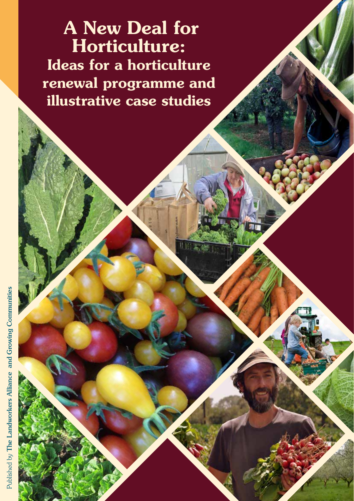A New Deal for Horticulture: Ideas for a horticulture renewal programme and illustrative case studies

Agricultural Revolution

New Entrance Into Agriculture | 1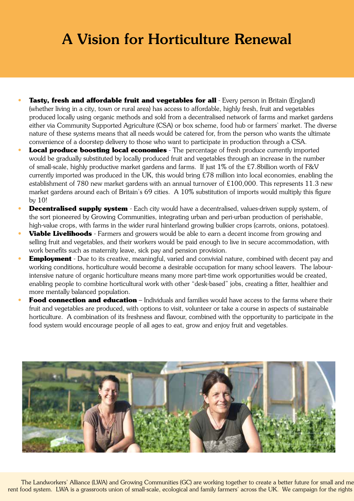# A Vision for Horticulture Renewal

- **Tasty, fresh and affordable fruit and vegetables for all** Every person in Britain (England) (whether living in a city, town or rural area) has access to affordable, highly fresh, fruit and vegetables produced locally using organic methods and sold from a decentralised network of farms and market gardens either via Community Supported Agriculture (CSA) or box scheme, food hub or farmers' market. The diverse nature of these systems means that all needs would be catered for, from the person who wants the ultimate convenience of a doorstep delivery to those who want to participate in production through a CSA.
- **Local produce boosting local economies** The percentage of fresh produce currently imported would be gradually substituted by locally produced fruit and vegetables through an increase in the number of small-scale, highly productive market gardens and farms. If just 1% of the £7.8billion worth of F&V currently imported was produced in the UK, this would bring £78 million into local economies, enabling the establishment of 780 new market gardens with an annual turnover of £100,000. This represents 11.3 new market gardens around each of Britain's 69 cities. A 10% substitution of imports would multiply this figure by 10!
- **Decentralised supply system** Each city would have a decentralised, values-driven supply system, of the sort pioneered by Growing Communities, integrating urban and peri-urban production of perishable, high-value crops, with farms in the wider rural hinterland growing bulkier crops (carrots, onions, potatoes).
- **• Viable Livelihoods** Farmers and growers would be able to earn a decent income from growing and selling fruit and vegetables, and their workers would be paid enough to live in secure accommodation, with work benefits such as maternity leave, sick pay and pension provision.
- **Employment** Due to its creative, meaningful, varied and convivial nature, combined with decent pay and working conditions, horticulture would become a desirable occupation for many school leavers. The labourintensive nature of organic horticulture means many more part-time work opportunities would be created, enabling people to combine horticultural work with other "desk-based" jobs, creating a fitter, healthier and more mentally balanced population.
- **Food connection and education** Individuals and families would have access to the farms where their fruit and vegetables are produced, with options to visit, volunteer or take a course in aspects of sustainable horticulture. A combination of its freshness and flavour, combined with the opportunity to participate in the food system would encourage people of all ages to eat, grow and enjoy fruit and vegetables.



The Landworkers' Alliance (LWA) and Growing Communities (GC) are working together to create a better future for small and me rent food system. LWA is a grassroots union of small-scale, ecological and family farmers' across the UK. We campaign for the rights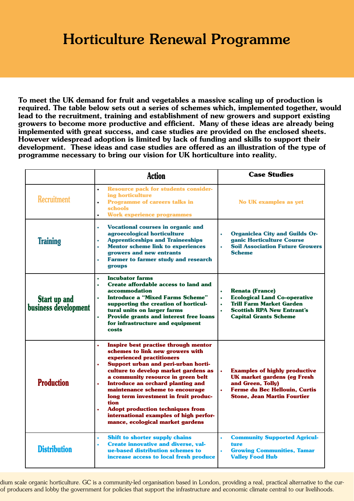# Horticulture Renewal Programme

To meet the UK demand for fruit and vegetables a massive scaling up of production is required. The table below sets out a series of schemes which, implemented together, would lead to the recruitment, training and establishment of new growers and support existing growers to become more productive and efficient. Many of these ideas are already being implemented with great success, and case studies are provided on the enclosed sheets. However widespread adoption is limited by lack of funding and skills to support their development. These ideas and case studies are offered as an illustration of the type of programme necessary to bring our vision for UK horticulture into reality.

|                                             | <b>Action</b>                                                                                                                                                                                                                                                                                                                                                                                                                                                                                                                    | <b>Case Studies</b>                                                                                                                                                                             |
|---------------------------------------------|----------------------------------------------------------------------------------------------------------------------------------------------------------------------------------------------------------------------------------------------------------------------------------------------------------------------------------------------------------------------------------------------------------------------------------------------------------------------------------------------------------------------------------|-------------------------------------------------------------------------------------------------------------------------------------------------------------------------------------------------|
| <b>Recruitment</b>                          | <b>Resource pack for students consider-</b><br>$\bullet$<br>ing horticulture<br><b>Programme of careers talks in</b><br>$\bullet$<br><b>schools</b><br><b>Work experience programmes</b>                                                                                                                                                                                                                                                                                                                                         | <b>No UK examples as yet</b>                                                                                                                                                                    |
| <b>Training</b>                             | <b>Vocational courses in organic and</b><br>$\bullet$<br>agroecological horticulture<br><b>Apprenticeships and Traineeships</b><br>$\bullet$<br><b>Mentor scheme link to experiences</b><br>$\bullet$<br>growers and new entrants<br><b>Farmer to farmer study and research</b><br>$\bullet$<br>groups                                                                                                                                                                                                                           | <b>Organiclea City and Guilds Or-</b><br>$\bullet$<br>ganic Horticulture Course<br><b>Soil Association Future Growers</b><br><b>Scheme</b>                                                      |
| <b>Start up and</b><br>business development | <b>Incubator farms</b><br>$\bullet$<br>Create affordable access to land and<br>$\bullet$<br>accommodation<br><b>Introduce a "Mixed Farms Scheme"</b><br>$\bullet$<br>supporting the creation of horticul-<br>tural units on larger farms<br><b>Provide grants and interest free loans</b><br>for infrastructure and equipment<br>costs                                                                                                                                                                                           | <b>Renata (France)</b><br><b>Ecological Land Co-operative</b><br>$\bullet$<br><b>Trill Farm Market Garden</b><br>$\bullet$<br><b>Scottish RPA New Entrant's</b><br><b>Capital Grants Scheme</b> |
| <b>Production</b>                           | Inspire best practise through mentor<br>$\bullet$<br>schemes to link new growers with<br>experienced practitioners<br>Support urban and peri-urban horti-<br>$\bullet$<br>culture to develop market gardens as<br>a community resource in green belt<br>Introduce an orchard planting and<br>$\bullet$<br>maintenance scheme to encourage<br>long term investment in fruit produc-<br>tion<br><b>Adopt production techniques from</b><br>$\bullet$<br>international examples of high perfor-<br>mance, ecological market gardens | <b>Examples of highly productive</b><br><b>UK market gardens (eg Fresh</b><br>and Green, Tolly)<br><b>Ferme du Bec Hellouin, Curtis</b><br>$\bullet$<br><b>Stone, Jean Martin Fourtier</b>      |
| <b>Distribution</b>                         | Shift to shorter supply chains<br>$\bullet$<br><b>Create innovative and diverse, val-</b><br>$\bullet$<br>ue-based distribution schemes to<br>increase access to local fresh produce                                                                                                                                                                                                                                                                                                                                             | <b>Community Supported Agricul-</b><br>$\bullet$<br>ture<br><b>Growing Communities, Tamar</b><br><b>Valley Food Hub</b>                                                                         |

dium scale organic horticulture. GC is a community-led organisation based in London, providing a real, practical alternative to the curof producers and lobby the government for policies that support the infrastructure and economic climate central to our livelihoods.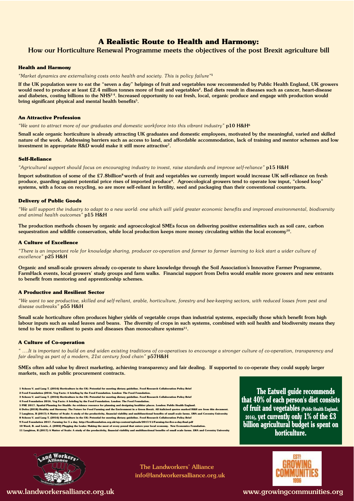### **A Realistic Route to Health and Harmony:**

### How our Horticulture Renewal Programme meets the objectives of the post Brexit agriculture bill

### **Health and Harmony**

*"Market dynamics are externalising costs onto health and society. This is policy failure"*<sup>1</sup>

If the UK population were to eat the "seven a day" helpings of fruit and vegetables now recommended by Public Health England, UK growers would need to produce at least £2.4 million tonnes more of fruit and vegetables<sup>2</sup>. Bad diets result in diseases such as cancer, heart-disease and diabetes, costing billions to the NHS<sup>34</sup>. Increased opportunity to eat fresh, local, organic produce and engage with production would bring significant physical and mental health benefits<sup>5</sup>.

#### **An Attractive Profession**

*"We want to attract more of our graduates and domestic workforce into this vibrant industry"* p10 H&H6

Small scale organic horticulture is already attracting UK graduates and domestic employees, motivated by the meaningful, varied and skilled nature of the work. Addressing barriers such as access to land, and affordable accommodation, lack of training and mentor schemes and low investment in appropriate R&D would make it still more attractive<sup>7</sup>.

#### **Self-Reliance**

*"Agricultural support should focus on encouraging industry to invest, raise standards and improve self-reliance"* p15 H&H

Import substitution of some of the £7.8billion<sup>8</sup> worth of fruit and vegetables we currently import would increase UK self-reliance on fresh produce, guarding against potential price rises of imported produce<sup>9</sup>. Agroecological growers tend to operate low input, "closed loop" systems, with a focus on recycling, so are more self-reliant in fertility, seed and packaging than their conventional counterparts.

### **Delivery of Public Goods**

*"We will support the industry to adapt to a new world: one which will yield greater economic benefits and improved environmental, biodiversity and animal health outcomes"* p15 H&H

The production methods chosen by organic and agroecological SMEs focus on delivering positive externalities such as soil care, carbon sequestration and wildlife conservation, while local production keeps more money circulating within the local economy<sup>10</sup>.

#### **A Culture of Excellence**

*"There is an important role for knowledge sharing, producer co-operation and farmer to farmer learning to kick start a wider culture of excellence"* p25 H&H

Organic and small-scale growers already co-operate to share knowledge through the Soil Association's Innovative Farmer Programme, FarmHack events, local growers' study groups and farm walks. Financial support from Defra would enable more growers and new entrants to benefit from mentoring and apprenticeship schemes.

### **A Productive and Resilient Sector**

*"We want to see productive, skilled and self-reliant, arable, horticulture, forestry and bee-keeping sectors, with reduced losses from pest and disease outbreaks"* p55 H&H

Small scale horticulture often produces higher yields of vegetable crops than industrial systems, especially those which benefit from high labour inputs such as salad leaves and beans. The diversity of crops in such systems, combined with soil health and biodiversity means they tend to be more resilient to pests and diseases than monoculture systems $^{11}$ .

#### **A Culture of Co-operation**

*" ….It is important to build on and widen existing traditions of co-operatives to encourage a stronger culture of co-operation, transparency and fair dealing as part of a modern, 21st century food chain"* p57H&H

SMEs often add value by direct marketing, achieving transparency and fair dealing. If supported to co-operate they could supply larger markets, such as public procurement contracts.

- **1 Schoen V. and Lang T. (2016) Horticulture in the UK: Potential for meeting dietary guideline. Food Research Collaboration Policy Brights Brights Policy Brights Brights Brights Brights Brights Brights Brights Brights Bri**
- **2 Food Foundation (2016. Veg Facts: A briefing by the Food Foundation. London: The Food Foundation.**
- 3 Schoen V. and Lang T. (2016) Horticulture in the UK: Potential for meeting dietary guideline. Food Research Collaboration Policy Brief<br>4 Food Foundation 2016. Veg Facts: A briefing by the Food Foundation. London: The Foo
- 
- **5 PHE 2017. Spatial Planning for Health: An evidence resource for planning and designing healthier places. London: Public Health England. 6 Defra (2018) Healthy and Harmony: The Future for Food Farming and the Environment in a Green Brexit. All it**
- **7 Laughton, R (2017) A Matter of Scale: A study of the productivity, financial viability and multifunctional benefits of small scale farms. LWA and Coventry University**
- **8 Schoen V. and Lang T. (2016) Horticulture in the UK: Potential for meeting dietary guideline. Food Research Collaboration Policy Brief**
- **9 Food Foundation 2017. Farming for 5 a day. http://foodfoundation.org.uk/wp-content/uploads/2017/11/Farming-for-five-a-day-final.pdf 10 Ward, B. and Lewis, J. (2002) Plugging the Leaks: Making the most of every pound that expansion is a straightfoundation.**
- **11 Laughton, R (2017) A Matter of Scale: A study of the productivity, financial viability and multifunctional benefits of small scale farms. LWA and Coventry University**

**The Eatwell guide recommends that 40% of each person's diet consists of fruit and vegetables (Public Health England, 2016), yet currently only 1% of the £3 billion agricultural budget is spent on horticulture.**



The Landworkers' Alliance info@landworkersalliance.org.uk



www.landworkersalliance.org.uk www.growingcommunities.org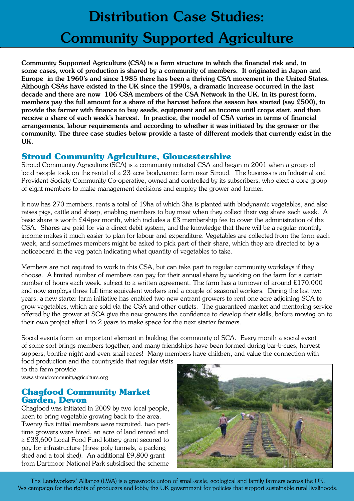# Distribution Case Studies: Community Supported Agriculture

Community Supported Agriculture (CSA) is a farm structure in which the financial risk and, in some cases, work of production is shared by a community of members. It originated in Japan and Europe in the 1960's and since 1985 there has been a thriving CSA movement in the United States. Although CSAs have existed in the UK since the 1990s, a dramatic increase occurred in the last decade and there are now 106 CSA members of the CSA Network in the UK. In its purest form, members pay the full amount for a share of the harvest before the season has started (say £500), to provide the farmer with finance to buy seeds, equipment and an income until crops start, and then receive a share of each week's harvest. In practice, the model of CSA varies in terms of financial arrangements, labour requirements and according to whether it was initiated by the grower or the community. The three case studies below provide a taste of different models that currently exist in the UK.

# **Stroud Community Agriculture, Gloucestershire**

Stroud Community Agriculture (SCA) is a community-initiated CSA and began in 2001 when a group of local people took on the rental of a 23-acre biodynamic farm near Stroud. The business is an Industrial and Provident Society Community Co-operative, owned and controlled by its subscribers, who elect a core group of eight members to make management decisions and employ the grower and farmer.

It now has 270 members, rents a total of 19ha of which 3ha is planted with biodynamic vegetables, and also raises pigs, cattle and sheep, enabling members to buy meat when they collect their veg share each week. A basic share is worth £44per month, which includes a £3 membership fee to cover the administration of the CSA. Shares are paid for via a direct debit system, and the knowledge that there will be a regular monthly income makes it much easier to plan for labour and expenditure. Vegetables are collected from the farm each week, and sometimes members might be asked to pick part of their share, which they are directed to by a noticeboard in the veg patch indicating what quantity of vegetables to take.

Members are not required to work in this CSA, but can take part in regular community workdays if they choose. A limited number of members can pay for their annual share by working on the farm for a certain number of hours each week, subject to a written agreement. The farm has a turnover of around £170,000 and now employs three full time equivalent workers and a couple of seasonal workers. During the last two years, a new starter farm initiative has enabled two new entrant growers to rent one acre adjoining SCA to grow vegetables, which are sold via the CSA and other outlets. The guaranteed market and mentoring service offered by the grower at SCA give the new growers the confidence to develop their skills, before moving on to their own project after1 to 2 years to make space for the next starter farmers.

Social events form an important element in building the community of SCA. Every month a social event of some sort brings members together, and many friendships have been formed during bar-b-cues, harvest suppers, bonfire night and even snail races! Many members have children, and value the connection with

food production and the countryside that regular visits to the farm provide.

www.stroudcommunityagriculture.org

### **Chagfood Community Market Garden, Devon**

Chagfood was initiated in 2009 by two local people, keen to bring vegetable growing back to the area. Twenty five initial members were recruited, two parttime growers were hired, an acre of land rented and a £38,600 Local Food Fund lottery grant secured to pay for infrastructure (three poly tunnels, a packing shed and a tool shed). An additional £9,800 grant from Dartmoor National Park subsidised the scheme



 The Landworkers' Alliance (LWA) is a grassroots union of small-scale, ecological and family farmers across the UK. We campaign for the rights of producers and lobby the UK government for policies that support sustainable rural livelihoods.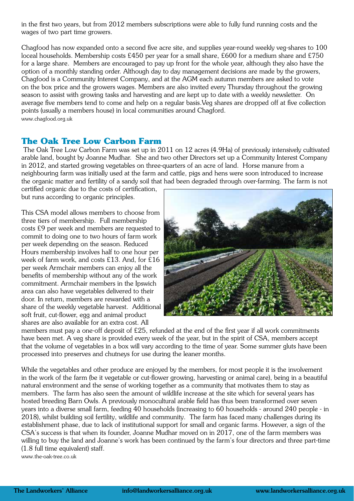in the first two years, but from 2012 members subscriptions were able to fully fund running costs and the wages of two part time growers.

Chagfood has now expanded onto a second five acre site, and supplies year-round weekly veg-shares to 100 loceal households. Membership costs £450 per year for a small share, £600 for a medium share and £750 for a large share. Members are encouraged to pay up front for the whole year, although they also have the option of a monthly standing order. Although day to day management decisions are made by the growers, Chagfood is a Community Interest Company, and at the AGM each autumn members are asked to vote on the box price and the growers wages. Members are also invited every Thursday throughout the growing season to assist with growing tasks and harvesting and are kept up to date with a weekly newsletter. On average five members tend to come and help on a regular basis.Veg shares are dropped off at five collection points (usually a members house) in local communities around Chagford. www.chagfood.org.uk

## **The Oak Tree Low Carbon Farm**

 The Oak Tree Low Carbon Farm was set up in 2011 on 12 acres (4.9Ha) of previously intensively cultivated arable land, bought by Joanne Mudhar. She and two other Directors set up a Community Interest Company in 2012, and started growing vegetables on three-quarters of an acre of land. Horse manure from a neighbouring farm was initially used at the farm and cattle, pigs and hens were soon introduced to increase the organic matter and fertility of a sandy soil that had been degraded through over-farming. The farm is not

certified organic due to the costs of certification, but runs according to organic principles.

This CSA model allows members to choose from three tiers of membership. Full membership costs £9 per week and members are requested to commit to doing one to two hours of farm work per week depending on the season. Reduced Hours membership involves half to one hour per week of farm work, and costs £13. And, for £16 per week Armchair members can enjoy all the benefits of membership without any of the work commitment. Armchair members in the Ipswich area can also have vegetables delivered to their door. In return, members are rewarded with a share of the weekly vegetable harvest. Additional soft fruit, cut-flower, egg and animal product shares are also available for an extra cost. All



members must pay a one-off deposit of £25, refunded at the end of the first year if all work commitments have been met. A veg share is provided every week of the year, but in the spirit of CSA, members accept that the volume of vegetables in a box will vary according to the time of year. Some summer gluts have been processed into preserves and chutneys for use during the leaner months.

While the vegetables and other produce are enjoyed by the members, for most people it is the involvement in the work of the farm (be it vegetable or cut-flower growing, harvesting or animal care), being in a beautiful natural environment and the sense of working together as a community that motivates them to stay as members. The farm has also seen the amount of wildlife increase at the site which for several years has hosted breeding Barn Owls. A previously monocultural arable field has thus been transformed over seven years into a diverse small farm, feeding 40 households (increasing to 60 households - around 240 people - in 2018), whilst building soil fertility, wildlife and community. The farm has faced many challenges during its establishment phase, due to lack of institutional support for small and organic farms. However, a sign of the CSA's success is that when its founder, Joanne Mudhar moved on in 2017, one of the farm members was willing to buy the land and Joanne's work has been continued by the farm's four directors and three part-time (1.8 full time equivalent) staff.

www.the-oak-tree.co.uk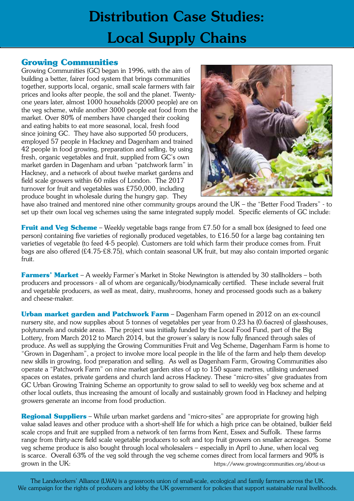# Distribution Case Studies: Local Supply Chains

# **Growing Communities**

Growing Communities (GC) began in 1996, with the aim of building a better, fairer food system that brings communities together, supports local, organic, small scale farmers with fair prices and looks after people, the soil and the planet. Twentyone years later, almost 1000 households (2000 people) are on the veg scheme, while another 3000 people eat food from the market. Over 80% of members have changed their cooking and eating habits to eat more seasonal, local, fresh food since joining GC. They have also supported 50 producers, employed 57 people in Hackney and Dagenham and trained 42 people in food growing, preparation and selling, by using fresh, organic vegetables and fruit, supplied from GC's own market garden in Dagenham and urban "patchwork farm" in Hackney, and a network of about twelve market gardens and field scale growers within 60 miles of London. The 2017 turnover for fruit and vegetables was £750,000, including produce bought in wholesale during the hungry gap. They



have also trained and mentored nine other community groups around the UK – the "Better Food Traders" - to set up their own local veg schemes using the same integrated supply model. Specific elements of GC include:

**Fruit and Veg Scheme** – Weekly vegetable bags range from £7.50 for a small box (designed to feed one person) containing five varieties of regionally produced vegetables, to £16.50 for a large bag containing ten varieties of vegetable (to feed 4-5 people). Customers are told which farm their produce comes from. Fruit bags are also offered (£4.75-£8.75), which contain seasonal UK fruit, but may also contain imported organic fruit.

**Farmers' Market** – A weekly Farmer's Market in Stoke Newington is attended by 30 stallholders – both producers and processors - all of whom are organically/biodynamically certified. These include several fruit and vegetable producers, as well as meat, dairy, mushrooms, honey and processed goods such as a bakery and cheese-maker.

**Urban market garden and Patchwork Farm** – Dagenham Farm opened in 2012 on an ex-council nursery site, and now supplies about 5 tonnes of vegetables per year from 0.23 ha (0.6acres) of glasshouses, polytunnels and outside areas. The project was initially funded by the Local Food Fund, part of the Big Lottery, from March 2012 to March 2014, but the grower's salary is now fully financed through sales of produce. As well as supplying the Growing Communities Fruit and Veg Scheme, Dagenham Farm is home to "Grown in Dagenham", a project to involve more local people in the life of the farm and help them develop new skills in growing, food preparation and selling. As well as Dagenham Farm, Growing Communities also operate a "Patchwork Farm" on nine market garden sites of up to 150 square metres, utilising underused spaces on estates, private gardens and church land across Hackney. These "micro-sites" give graduates from GC Urban Growing Training Scheme an opportunity to grow salad to sell to weekly veg box scheme and at other local outlets, thus increasing the amount of locally and sustainably grown food in Hackney and helping growers generate an income from food production.

**Regional Suppliers** – While urban market gardens and "micro-sites" are appropriate for growing high value salad leaves and other produce with a short-shelf life for which a high price can be obtained, bulkier field scale crops and fruit are supplied from a network of ten farms from Kent, Essex and Suffolk. These farms range from thirty-acre field scale vegetable producers to soft and top fruit growers on smaller acreages. Some veg scheme produce is also bought through local wholesalers – especially in April to June, when local veg is scarce. Overall 63% of the veg sold through the veg scheme comes direct from local farmers and 90% is grown in the UK:  $\frac{1}{2}$  about-us https://www.growingcommunities.org/about-us

 The Landworkers' Alliance (LWA) is a grassroots union of small-scale, ecological and family farmers across the UK. We campaign for the rights of producers and lobby the UK government for policies that support sustainable rural livelihoods.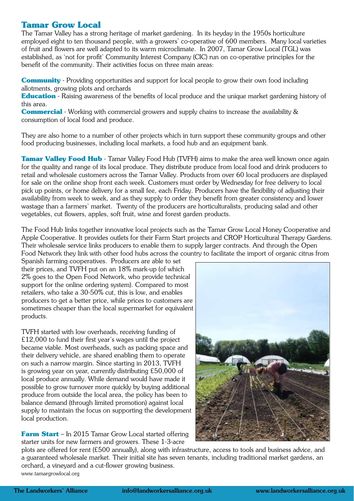## **Tamar Grow Local**

The Tamar Valley has a strong heritage of market gardening. In its heyday in the 1950s horticulture employed eight to ten thousand people, with a growers' co-operative of 600 members. Many local varieties of fruit and flowers are well adapted to its warm microclimate. In 2007, Tamar Grow Local (TGL) was established, as 'not for profit' Community Interest Company (CIC) run on co-operative principles for the benefit of the community. Their activities focus on three main areas:

**Community** - Providing opportunities and support for local people to grow their own food including allotments, growing plots and orchards

**Education** - Raising awareness of the benefits of local produce and the unique market gardening history of this area.

**Commercial** - Working with commercial growers and supply chains to increase the availability & consumption of local food and produce.

They are also home to a number of other projects which in turn support these community groups and other food producing businesses, including local markets, a food hub and an equipment bank.

**Tamar Valley Food Hub** - Tamar Valley Food Hub (TVFH) aims to make the area well known once again for the quality and range of its local produce. They distribute produce from local food and drink producers to retail and wholesale customers across the Tamar Valley. Products from over 60 local producers are displayed for sale on the online shop front each week. Customers must order by Wednesday for free delivery to local pick up points, or home delivery for a small fee, each Friday. Producers have the flexibility of adjusting their availability from week to week, and as they supply to order they benefit from greater consistency and lower wastage than a farmers' market. Twenty of the producers are horticulturalists, producing salad and other vegetables, cut flowers, apples, soft fruit, wine and forest garden products.

The Food Hub links together innovative local projects such as the Tamar Grow Local Honey Cooperative and Apple Cooperative. It provides outlets for their Farm Start projects and CROP Horticultural Therapy Gardens. Their wholesale service links producers to enable them to supply larger contracts. And through the Open Food Network they link with other food hubs across the country to facilitate the import of organic citrus from

Spanish farming cooperatives. Producers are able to set their prices, and TVFH put on an 18% mark-up (of which 2% goes to the Open Food Network, who provide technical support for the online ordering system). Compared to most retailers, who take a 30-50% cut, this is low, and enables producers to get a better price, while prices to customers are sometimes cheaper than the local supermarket for equivalent products.

TVFH started with low overheads, receiving funding of £12,000 to fund their first year's wages until the project became viable. Most overheads, such as packing space and their delivery vehicle, are shared enabling them to operate on such a narrow margin. Since starting in 2013, TVFH is growing year on year, currently distributing £50,000 of local produce annually. While demand would have made it possible to grow turnover more quickly by buying additional produce from outside the local area, the policy has been to balance demand (through limited promotion) against local supply to maintain the focus on supporting the development local production.

**Farm Start** – In 2015 Tamar Grow Local started offering starter units for new farmers and growers. These 1-3-acre



plots are offered for rent (£500 annually), along with infrastructure, access to tools and business advice, and a guaranteed wholesale market. Their initial site has seven tenants, including traditional market gardens, an orchard, a vineyard and a cut-flower growing business. www.tamargrowlocal.org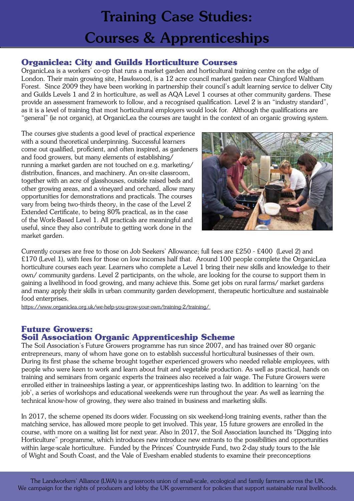# Training Case Studies: Courses & Apprenticeships

# **Organiclea: City and Guilds Horticulture Courses**

OrganicLea is a workers' co-op that runs a market garden and horticultural training centre on the edge of London. Their main growing site, Hawkwood, is a 12 acre council market garden near Chingford Waltham Forest. Since 2009 they have been working in partnership their council's adult learning service to deliver City and Guilds Levels 1 and 2 in horticulture, as well as AQA Level 1 courses at other community gardens. These provide an assessment framework to follow, and a recognised qualification. Level 2 is an "industry standard", as it is a level of training that most horticultural employers would look for. Although the qualifications are "general" (ie not organic), at OrganicLea the courses are taught in the context of an organic growing system.

The courses give students a good level of practical experience with a sound theoretical underpinning. Successful learners come out qualified, proficient, and often inspired, as gardeners and food growers, but many elements of establishing/ running a market garden are not touched on e.g. marketing/ distribution, finances, and machinery. An on-site classroom, together with an acre of glasshouses, outside raised beds and other growing areas, and a vineyard and orchard, allow many opportunities for demonstrations and practicals. The courses vary from being two-thirds theory, in the case of the Level 2 Extended Certificate, to being 80% practical, as in the case of the Work-Based Level 1. All practicals are meaningful and useful, since they also contribute to getting work done in the market garden.



Currently courses are free to those on Job Seekers' Allowance; full fees are £250 - £400 (Level 2) and £170 (Level 1), with fees for those on low incomes half that. Around 100 people complete the OrganicLea horticulture courses each year. Learners who complete a Level 1 bring their new skills and knowledge to their own/ community gardens. Level 2 participants, on the whole, are looking for the course to support them in gaining a livelihood in food growing, and many achieve this. Some get jobs on rural farms/ market gardens and many apply their skills in urban community garden development, therapeutic horticulture and sustainable food enterprises.

https://www.organiclea.org.uk/we-help-you-grow-your-own/training-2/training/

### **Future Growers: Soil Association Organic Apprenticeship Scheme**

The Soil Association's Future Growers programme has run since 2007, and has trained over 80 organic entrepreneurs, many of whom have gone on to establish successful horticultural businesses of their own. During its first phase the scheme brought together experienced growers who needed reliable employees, with people who were keen to work and learn about fruit and vegetable production. As well as practical, hands on training and seminars from organic experts the trainees also received a fair wage. The Future Growers were enrolled either in traineeships lasting a year, or apprenticeships lasting two. In addition to learning 'on the job', a series of workshops and educational weekends were run throughout the year. As well as learning the technical know-how of growing, they were also trained in business and marketing skills.

In 2017, the scheme opened its doors wider. Focussing on six weekend-long training events, rather than the matching service, has allowed more people to get involved. This year, 15 future growers are enrolled in the course, with more on a waiting list for next year. Also in 2017, the Soil Association launched its "Digging into Horticulture" programme, which introduces new introduce new entrants to the possibilities and opportunities within large-scale horticulture. Funded by the Princes' Countryside Fund, two 2-day study tours to the Isle of Wight and South Coast, and the Vale of Evesham enabled students to examine their preconceptions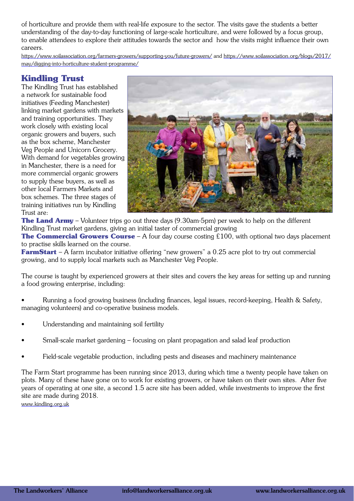of horticulture and provide them with real-life exposure to the sector. The visits gave the students a better understanding of the day-to-day functioning of large-scale horticulture, and were followed by a focus group, to enable attendees to explore their attitudes towards the sector and how the visits might influence their own careers.

https://www.soilassociation.org/farmers-growers/supporting-you/future-growers/ and https://www.soilassociation.org/blogs/2017/ may/digging-into-horticulture-student-programme/

# **Kindling Trust**

The Kindling Trust has established a network for sustainable food initiatives (Feeding Manchester) linking market gardens with markets and training opportunities. They work closely with existing local organic growers and buyers, such as the box scheme, Manchester Veg People and Unicorn Grocery. With demand for vegetables growing in Manchester, there is a need for more commercial organic growers to supply these buyers, as well as other local Farmers Markets and box schemes. The three stages of training initiatives run by Kindling Trust are:



**The Land Army** – Volunteer trips go out three days (9.30am-5pm) per week to help on the different Kindling Trust market gardens, giving an initial taster of commercial growing

**The Commercial Growers Course** – A four day course costing £100, with optional two days placement to practise skills learned on the course.

**FarmStart** – A farm incubator initiative offering "new growers" a 0.25 acre plot to try out commercial growing, and to supply local markets such as Manchester Veg People.

The course is taught by experienced growers at their sites and covers the key areas for setting up and running a food growing enterprise, including:

• Running a food growing business (including finances, legal issues, record-keeping, Health & Safety, managing volunteers) and co-operative business models.

- Understanding and maintaining soil fertility
- Small-scale market gardening focusing on plant propagation and salad leaf production
- Field-scale vegetable production, including pests and diseases and machinery maintenance

The Farm Start programme has been running since 2013, during which time a twenty people have taken on plots. Many of these have gone on to work for existing growers, or have taken on their own sites. After five years of operating at one site, a second 1.5 acre site has been added, while investments to improve the first site are made during 2018.

www.kindling.org.uk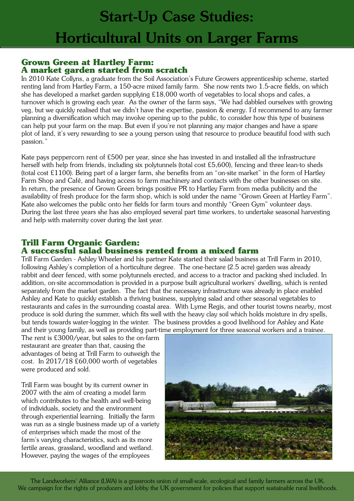### **Grown Green at Hartley Farm: A market garden started from scratch**

In 2010 Kate Collyns, a graduate from the Soil Association's Future Growers apprenticeship scheme, started renting land from Hartley Farm, a 150-acre mixed family farm. She now rents two 1.5-acre fields, on which she has developed a market garden supplying £18,000 worth of vegetables to local shops and cafes, a turnover which is growing each year. As the owner of the farm says, "We had dabbled ourselves with growing veg, but we quickly realised that we didn't have the expertise, passion & energy. I'd recommend to any farmer planning a diversification which may involve opening up to the public, to consider how this type of business can help put your farm on the map. But even if you're not planning any major changes and have a spare plot of land, it's very rewarding to see a young person using that resource to produce beautiful food with such passion."

Kate pays peppercorn rent of £500 per year, since she has invested in and installed all the infrastructure herself with help from friends, including six polytunnels (total cost £5,600), fencing and three lean-to sheds (total cost £1100). Being part of a larger farm, she benefits from an "on-site market" in the form of Hartley Farm Shop and Café, and having access to farm machinery and contacts with the other businesses on site. In return, the presence of Grown Green brings positive PR to Hartley Farm from media publicity and the availability of fresh produce for the farm shop, which is sold under the name "Grown Green at Hartley Farm". Kate also welcomes the public onto her fields for farm tours and monthly "Green Gym" volunteer days. During the last three years she has also employed several part time workers, to undertake seasonal harvesting and help with maternity cover during the last year.

# **Trill Farm Organic Garden:**

## **A successful salad business rented from a mixed farm**

Trill Farm Garden - Ashley Wheeler and his partner Kate started their salad business at Trill Farm in 2010, following Ashley's completion of a horticulture degree. The one-hectare (2.5 acre) garden was already rabbit and deer fenced, with some polytunnels erected, and access to a tractor and packing shed included. In addition, on-site accommodation is provided in a purpose built agricultural workers' dwelling, which is rented separately from the market garden. The fact that the necessary infrastructure was already in place enabled Ashley and Kate to quickly establish a thriving business, supplying salad and other seasonal vegetables to restaurants and cafes in the surrounding coastal area. With Lyme Regis, and other tourist towns nearby, most produce is sold during the summer, which fits well with the heavy clay soil which holds moisture in dry spells, but tends towards water-logging in the winter. The business provides a good livelihood for Ashley and Kate and their young family, as well as providing part-time employment for three seasonal workers and a trainee.

The rent is £3000/year, but sales to the on-farm restaurant are greater than that, causing the advantages of being at Trill Farm to outweigh the cost. In 2017/18 £60,000 worth of vegetables were produced and sold.

Trill Farm was bought by its current owner in 2007 with the aim of creating a model farm which contributes to the health and well-being of individuals, society and the environment through experiential learning. Initially the farm was run as a single business made up of a variety of enterprises which made the most of the farm's varying characteristics, such as its more fertile areas, grassland, woodland and wetland. However, paying the wages of the employees



 The Landworkers' Alliance (LWA) is a grassroots union of small-scale, ecological and family farmers across the UK. We campaign for the rights of producers and lobby the UK government for policies that support sustainable rural livelihoods.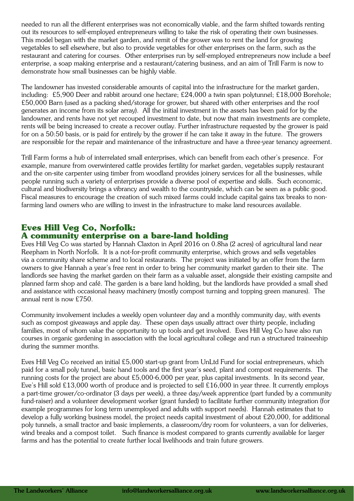needed to run all the different enterprises was not economically viable, and the farm shifted towards renting out its resources to self-employed entrepreneurs willing to take the risk of operating their own businesses. This model began with the market garden, and remit of the grower was to rent the land for growing vegetables to sell elsewhere, but also to provide vegetables for other enterprises on the farm, such as the restaurant and catering for courses. Other enterprises run by self-employed entrepreneurs now include a beef enterprise, a soap making enterprise and a restaurant/catering business, and an aim of Trill Farm is now to demonstrate how small businesses can be highly viable.

The landowner has invested considerable amounts of capital into the infrastructure for the market garden, including: £5,900 Deer and rabbit around one hectare; £24,000 a twin span polytunnel; £18,000 Borehole; £50,000 Barn (used as a packing shed/storage for grower, but shared with other enterprises and the roof generates an income from its solar array). All the initial investment in the assets has been paid for by the landowner, and rents have not yet recouped investment to date, but now that main investments are complete, rents will be being increased to create a recover outlay. Further infrastructure requested by the grower is paid for on a 50:50 basis, or is paid for entirely by the grower if he can take it away in the future. The growers are responsible for the repair and maintenance of the infrastructure and have a three-year tenancy agreement.

Trill Farm forms a hub of interrelated small enterprises, which can benefit from each other's presence. For example, manure from overwintered cattle provides fertility for market garden, vegetables supply restaurant and the on-site carpenter using timber from woodland provides joinery services for all the businesses, while people running such a variety of enterprises provide a diverse pool of expertise and skills. Such economic, cultural and biodiversity brings a vibrancy and wealth to the countryside, which can be seen as a public good. Fiscal measures to encourage the creation of such mixed farms could include capital gains tax breaks to nonfarming land owners who are willing to invest in the infrastructure to make land resources available.

## **Eves Hill Veg Co, Norfolk: A community enterprise on a bare-land holding**

Eves Hill Veg Co was started by Hannah Claxton in April 2016 on 0.8ha (2 acres) of agricultural land near Reepham in North Norfolk. It is a not-for-profit community enterprise, which grows and sells vegetables via a community share scheme and to local restaurants. The project was initiated by an offer from the farm owners to give Hannah a year's free rent in order to bring her community market garden to their site. The landlords see having the market garden on their farm as a valuable asset, alongside their existing campsite and planned farm shop and café. The garden is a bare land holding, but the landlords have provided a small shed and assistance with occasional heavy machinery (mostly compost turning and topping green manures). The annual rent is now £750.

Community involvement includes a weekly open volunteer day and a monthly community day, with events such as compost giveaways and apple day. These open days usually attract over thirty people, including families, most of whom value the opportunity to up tools and get involved. Eves Hill Veg Co have also run courses in organic gardening in association with the local agricultural college and run a structured traineeship during the summer months.

Eves Hill Veg Co received an initial £5,000 start-up grant from UnLtd Fund for social entrepreneurs, which paid for a small poly tunnel, basic hand tools and the first year's seed, plant and compost requirements. The running costs for the project are about £5,000-6,000 per year, plus capital investments. In its second year, Eve's Hill sold £13,000 worth of produce and is projected to sell £16,000 in year three. It currently employs a part-time grower/co-ordinator (3 days per week), a three day/week apprentice (part funded by a community fund-raiser) and a volunteer development worker (grant funded) to facilitate further community integration (for example programmes for long term unemployed and adults with support needs). Hannah estimates that to develop a fully working business model, the project needs capital investment of about £20,000, for additional poly tunnels, a small tractor and basic implements, a classroom/dry room for volunteers, a van for deliveries, wind breaks and a compost toilet. Such finance is modest compared to grants currently available for larger farms and has the potential to create further local livelihoods and train future growers.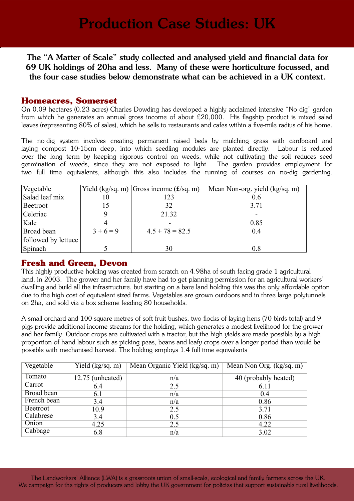The "A Matter of Scale" study collected and analysed yield and financial data for 69 UK holdings of 20ha and less. Many of these were horticulture focussed, and the four case studies below demonstrate what can be achieved in a UK context.

### **Homeacres, Somerset**

On 0.09 hectares (0.23 acres) Charles Dowding has developed a highly acclaimed intensive "No dig" garden from which he generates an annual gross income of about £20,000. His flagship product is mixed salad leaves (representing 80% of sales), which he sells to restaurants and cafes within a five-mile radius of his home.

The no-dig system involves creating permanent raised beds by mulching grass with cardboard and laying compost 10-15cm deep, into which seedling modules are planted directly. Labour is reduced over the long term by keeping rigorous control on weeds, while not cultivating the soil reduces seed germination of weeds, since they are not exposed to light. The garden provides employment for two full time equivalents, although this also includes the running of courses on no-dig gardening.

| Vegetable           |         | Yield (kg/sq. m) Gross income $(f\text{/sq. m})$ | Mean Non-org. yield (kg/sq. m) |
|---------------------|---------|--------------------------------------------------|--------------------------------|
| Salad leaf mix      | 10      | 123                                              | 0.6                            |
| Beetroot            | 15      | 32                                               | 3.71                           |
| Celeriac            |         | 21.32                                            |                                |
| Kale                |         |                                                  | 0.85                           |
| Broad bean          | $3+6=9$ | $4.5 + 78 = 82.5$                                | 0.4                            |
| followed by lettuce |         |                                                  |                                |
| Spinach             |         | 30                                               | 0.8                            |

### **Fresh and Green, Devon**

This highly productive holding was created from scratch on 4.98ha of south facing grade 1 agricultural land, in 2003. The grower and her family have had to get planning permission for an agricultural workers' dwelling and build all the infrastructure, but starting on a bare land holding this was the only affordable option due to the high cost of equivalent sized farms. Vegetables are grown outdoors and in three large polytunnels on 2ha, and sold via a box scheme feeding 80 households.

A small orchard and 100 square metres of soft fruit bushes, two flocks of laying hens (70 birds total) and 9 pigs provide additional income streams for the holding, which generates a modest livelihood for the grower and her family. Outdoor crops are cultivated with a tractor, but the high yields are made possible by a high proportion of hand labour such as picking peas, beans and leafy crops over a longer period than would be possible with mechanised harvest. The holding employs 1.4 full time equivalents

| Vegetable   | Yield $(kg/sq. m)$ | Mean Organic Yield (kg/sq. m) | Mean Non Org. (kg/sq. m) |
|-------------|--------------------|-------------------------------|--------------------------|
| Tomato      | 12.75 (unheated)   | n/a                           | 40 (probably heated)     |
| Carrot      | 6.4                | 2.5                           | 6.11                     |
| Broad bean  | 6.1                | n/a                           | 0.4                      |
| French bean | 3.4                | n/a                           | 0.86                     |
| Beetroot    | 10.9               | 2.5                           | 3.71                     |
| Calabrese   | 3.4                | 0.5                           | 0.86                     |
| Onion       | 4.25               | 2.5                           | 4.22                     |
| Cabbage     | 6.8                | n/a                           | 3.02                     |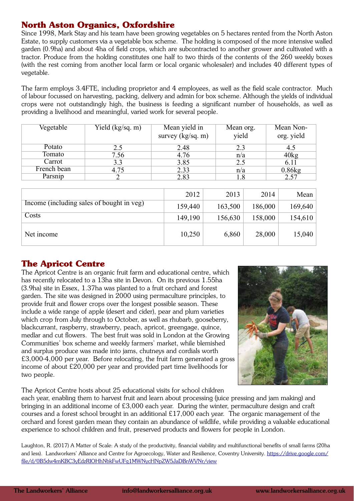# **North Aston Organics, Oxfordshire**

Since 1998, Mark Stay and his team have been growing vegetables on 5 hectares rented from the North Aston Estate, to supply customers via a vegetable box scheme. The holding is composed of the more intensive walled garden (0.9ha) and about 4ha of field crops, which are subcontracted to another grower and cultivated with a tractor. Produce from the holding constitutes one half to two thirds of the contents of the 260 weekly boxes (with the rest coming from another local farm or local organic wholesaler) and includes 40 different types of vegetable.

The farm employs 3.4FTE, including proprietor and 4 employees, as well as the field scale contractor. Much of labour focussed on harvesting, packing, delivery and admin for box scheme. Although the yields of individual crops were not outstandingly high, the business is feeding a significant number of households, as well as providing a livelihood and meaningful, varied work for several people.

| Vegetable   | Yield (kg/sq. m) | Mean yield in<br>survey $(kg/sq. m)$ | Mean org.<br>yield | Mean Non-<br>org. yield |
|-------------|------------------|--------------------------------------|--------------------|-------------------------|
| Potato      | 2.5              | 2.48                                 | 2.3                | 4.5                     |
| Tomato      | 7.56             | 4.76                                 | n/a                | 40kg                    |
| Carrot      | 3.3              | 3.85                                 | 2.5                | 6.11                    |
| French bean | 4.75             | 2.33                                 | n/a                | 0.86kg                  |
| Parsnip     |                  | 2.83                                 | 1.8                | 2.57                    |
|             |                  |                                      |                    |                         |
|             |                  |                                      |                    |                         |

|                                           | 2012    | 2013    | 2014    | Mean    |
|-------------------------------------------|---------|---------|---------|---------|
| Income (including sales of bought in veg) | 159,440 | 163,500 | 186,000 | 169,640 |
| Costs                                     | 149,190 | 156,630 | 158,000 | 154,610 |
| Net income                                | 10,250  | 6,860   | 28,000  | 15,040  |

## **The Apricot Centre**

The Apricot Centre is an organic fruit farm and educational centre, which has recently relocated to a 13ha site in Devon. On its previous 1.55ha (3.9ha) site in Essex, 1.37ha was planted to a fruit orchard and forest garden. The site was designed in 2000 using permaculture principles, to provide fruit and flower crops over the longest possible season. These include a wide range of apple (desert and cider), pear and plum varieties which crop from July through to October, as well as rhubarb, gooseberry, blackcurrant, raspberry, strawberry, peach, apricot, greengage, quince, medlar and cut flowers. The best fruit was sold in London at the Growing Communities' box scheme and weekly farmers' market, while blemished and surplus produce was made into jams, chutneys and cordials worth £3,000-4,000 per year. Before relocating, the fruit farm generated a gross income of about £20,000 per year and provided part time livelihoods for two people.

The Apricot Centre hosts about 25 educational visits for school children



each year, enabling them to harvest fruit and learn about processing (juice pressing and jam making) and bringing in an additional income of £3,000 each year. During the winter, permaculture design and craft courses and a forest school brought in an additional £17,000 each year. The organic management of the orchard and forest garden mean they contain an abundance of wildlife, while providing a valuable educational experience to school children and fruit, preserved products and flowers for people in London.

Laughton, R. (2017) A Matter of Scale: A study of the productivity, financial viability and multifunctional benefits of small farms (20ha and less). Landworkers' Alliance and Centre for Agroecology, Water and Resilience, Coventry University. https://drive.google.com/ file/d/0B5dw4mKBC3yEdzRIOHhNbkFwUFg1MWNycHNpZW5JaDBnWVNr/view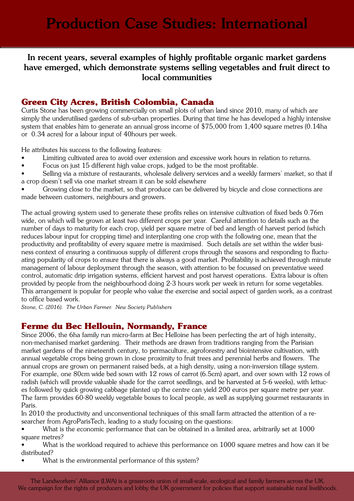## In recent years, several examples of highly profitable organic market gardens have emerged, which demonstrate systems selling vegetables and fruit direct to local communities

# **Green City Acres, British Colombia, Canada**

Curtis Stone has been growing commercially on small plots of urban land since 2010, many of which are simply the underutilised gardens of sub-urban properties. During that time he has developed a highly intensive system that enables him to generate an annual gross income of \$75,000 from 1,400 square metres (0.14ha or 0.34 acres) for a labour input of 40hours per week.

He attributes his success to the following features:

- Limiting cultivated area to avoid over extension and excessive work hours in relation to returns.
- Focus on just 15 different high value crops, judged to be the most profitable.
- Selling via a mixture of restaurants, wholesale delivery services and a weekly farmers' market, so that if a crop doesn't sell via one market stream it can be sold elsewhere

• Growing close to the market, so that produce can be delivered by bicycle and close connections are made between customers, neighbours and growers.

The actual growing system used to generate these profits relies on intensive cultivation of fixed beds 0.76m wide, on which will be grown at least two different crops per year. Careful attention to details such as the number of days to maturity for each crop, yield per square metre of bed and length of harvest period (which reduces labour input for cropping time) and interplanting one crop with the following one, mean that the productivity and profitability of every square metre is maximised. Such details are set within the wider business context of ensuring a continuous supply of different crops through the seasons and responding to fluctuating popularity of crops to ensure that there is always a good market. Profitability is achieved through minute management of labour deployment through the season, with attention to be focussed on preventative weed control, automatic drip irrigation systems, efficient harvest and post harvest operations. Extra labour is often provided by people from the neighbourhood doing 2-3 hours work per week in return for some vegetables. This arrangement is popular for people who value the exercise and social aspect of garden work, as a contrast to office based work.

*Stone, C. (2016). The Urban Farmer. New Society Publishers*

## **Ferme du Bec Hellouin, Normandy, France**

Since 2006, the 6ha family run micro-farm at Bec Helloine has been perfecting the art of high intensity, non-mechanised market gardening. Their methods are drawn from traditions ranging from the Parisian market gardens of the nineteenth century, to permaculture, agroforestry and biointensive cultivation, with annual vegetable crops being grown in close proximity to fruit trees and perennial herbs and flowers. The annual crops are grown on permanent raised beds, at a high density, using a non-inversion tillage system. For example, one 80cm wide bed sown with 12 rows of carrot (6.5cm) apart, and over sown with 12 rows of radish (which will provide valuable shade for the carrot seedlings, and be harvested at 5-6 weeks), with lettuces followed by quick growing cabbage planted up the centre can yield 200 euros per square metre per year. The farm provides 60-80 weekly vegetable boxes to local people, as well as supplying gourmet restaurants in Paris.

In 2010 the productivity and unconventional techniques of this small farm attracted the attention of a researcher from AgroParisTech, leading to a study focusing on the questions:

• What is the economic performance that can be obtained in a limited area, arbitrarily set at 1000 square metres?

What is the workload required to achieve this performance on 1000 square metres and how can it be distributed?

What is the environmental performance of this system?